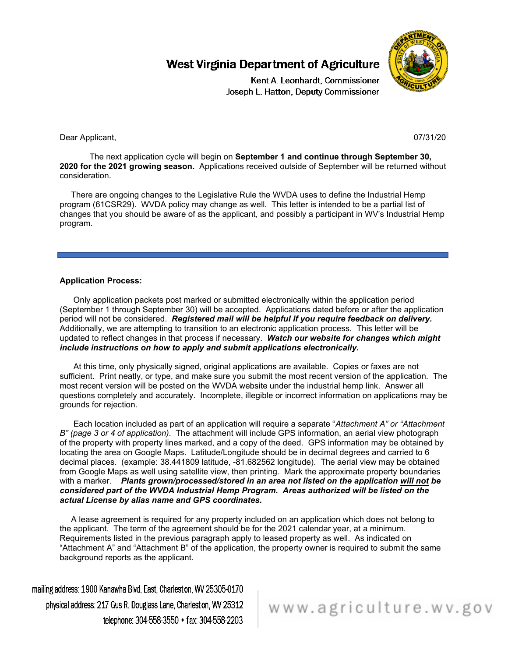

Kent A. Leonhardt, Commissioner Joseph L. Hatton, Deputy Commissioner

#### Dear Applicant, 2007/31/20 and 2007/31/20 and 2007/31/20 and 2007/31/20 and 2007/31/20 and 2007/31/20 and 2007/31/20

The next application cycle will begin on **September 1 and continue through September 30, 2020 for the 2021 growing season.** Applications received outside of September will be returned without consideration.

 There are ongoing changes to the Legislative Rule the WVDA uses to define the Industrial Hemp program (61CSR29). WVDA policy may change as well. This letter is intended to be a partial list of changes that you should be aware of as the applicant, and possibly a participant in WV's Industrial Hemp program.

#### **Application Process:**

Only application packets post marked or submitted electronically within the application period (September 1 through September 30) will be accepted. Applications dated before or after the application period will not be considered. *Registered mail will be helpful if you require feedback on delivery.*  Additionally, we are attempting to transition to an electronic application process. This letter will be updated to reflect changes in that process if necessary. *Watch our website for changes which might include instructions on how to apply and submit applications electronically.*

 At this time, only physically signed, original applications are available. Copies or faxes are not sufficient. Print neatly, or type, and make sure you submit the most recent version of the application. The most recent version will be posted on the WVDA website under the industrial hemp link. Answer all questions completely and accurately. Incomplete, illegible or incorrect information on applications may be grounds for rejection.

 Each location included as part of an application will require a separate "*Attachment A" or "Attachment B" (page 3 or 4 of application)*. The attachment will include GPS information, an aerial view photograph of the property with property lines marked, and a copy of the deed. GPS information may be obtained by locating the area on Google Maps. Latitude/Longitude should be in decimal degrees and carried to 6 decimal places. (example: 38.441809 latitude, -81.682562 longitude). The aerial view may be obtained from Google Maps as well using satellite view, then printing. Mark the approximate property boundaries with a marker. *Plants grown/processed/stored in an area not listed on the application will not be considered part of the WVDA Industrial Hemp Program. Areas authorized will be listed on the actual License by alias name and GPS coordinates.*

 A lease agreement is required for any property included on an application which does not belong to the applicant. The term of the agreement should be for the 2021 calendar year, at a minimum. Requirements listed in the previous paragraph apply to leased property as well. As indicated on "Attachment A" and "Attachment B" of the application, the property owner is required to submit the same background reports as the applicant.

mailing address: 1900 Kanawha Blvd. East, Charleston, WV 25305-0170 physical address: 217 Gus R. Douglass Lane, Charlest on, WV 25312 telephone: 304-558-3550 • fax: 304-558-2203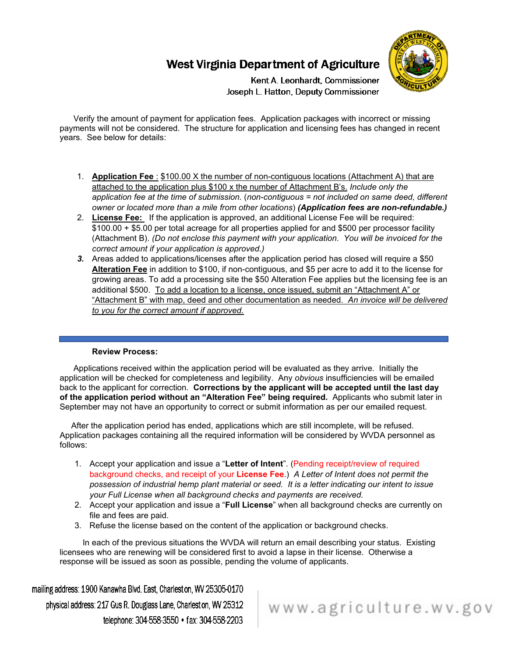

Kent A. Leonhardt, Commissioner Joseph L. Hatton, Deputy Commissioner

 Verify the amount of payment for application fees. Application packages with incorrect or missing payments will not be considered. The structure for application and licensing fees has changed in recent years. See below for details:

- 1. **Application Fee** : \$100.00 X the number of non-contiguous locations (Attachment A) that are attached to the application plus \$100 x the number of Attachment B's. *Include only the application fee at the time of submission.* (*non-contiguous = not included on same deed, different owner or located more than a mile from other locations*) *(Application fees are non-refundable.)*
- 2. **License Fee:** If the application is approved, an additional License Fee will be required: \$100.00 + \$5.00 per total acreage for all properties applied for and \$500 per processor facility (Attachment B). *(Do not enclose this payment with your application. You will be invoiced for the correct amount if your application is approved.)*
- *3.* Areas added to applications/licenses after the application period has closed will require a \$50 **Alteration Fee** in addition to \$100, if non-contiguous, and \$5 per acre to add it to the license for growing areas. To add a processing site the \$50 Alteration Fee applies but the licensing fee is an additional \$500. To add a location to a license, once issued, submit an "Attachment A" or "Attachment B" with map, deed and other documentation as needed. *An invoice will be delivered to you for the correct amount if approved.*

### **Review Process:**

 Applications received within the application period will be evaluated as they arrive. Initially the application will be checked for completeness and legibility. Any *obvious* insufficiencies will be emailed back to the applicant for correction. **Corrections by the applicant will be accepted until the last day of the application period without an "Alteration Fee" being required.** Applicants who submit later in September may not have an opportunity to correct or submit information as per our emailed request.

 After the application period has ended, applications which are still incomplete, will be refused. Application packages containing all the required information will be considered by WVDA personnel as follows:

- 1. Accept your application and issue a "**Letter of Intent**". (Pending receipt/review of required background checks, and receipt of your **License Fee**.) *A Letter of Intent does not permit the possession of industrial hemp plant material or seed. It is a letter indicating our intent to issue your Full License when all background checks and payments are received.*
- 2. Accept your application and issue a "**Full License**" when all background checks are currently on file and fees are paid.
- 3. Refuse the license based on the content of the application or background checks.

 In each of the previous situations the WVDA will return an email describing your status. Existing licensees who are renewing will be considered first to avoid a lapse in their license. Otherwise a response will be issued as soon as possible, pending the volume of applicants.

mailing address: 1900 Kanawha Blvd. East, Charlest on, WV 25305-0170 physical address: 217 Gus R. Douglass Lane, Charlest on, WV 25312 telephone: 304-558-3550 • fax: 304-558-2203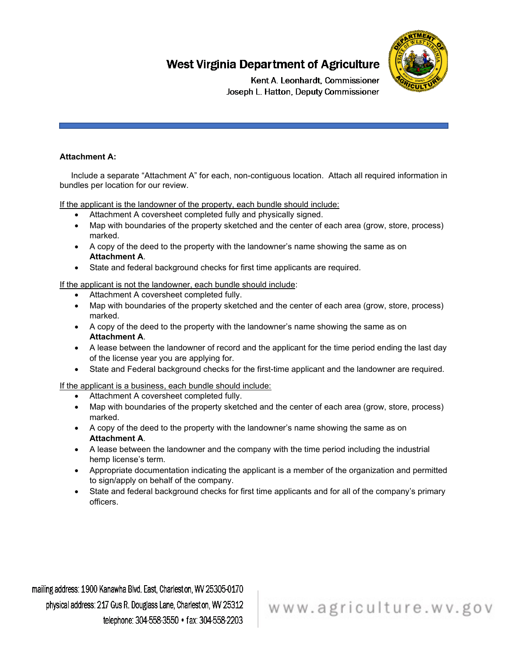

Kent A. Leonhardt, Commissioner Joseph L. Hatton, Deputy Commissioner

### **Attachment A:**

 Include a separate "Attachment A" for each, non-contiguous location. Attach all required information in bundles per location for our review.

If the applicant is the landowner of the property, each bundle should include:

- Attachment A coversheet completed fully and physically signed.
- Map with boundaries of the property sketched and the center of each area (grow, store, process) marked.
- A copy of the deed to the property with the landowner's name showing the same as on **Attachment A**.
- State and federal background checks for first time applicants are required.

If the applicant is not the landowner, each bundle should include:

- Attachment A coversheet completed fully.
- Map with boundaries of the property sketched and the center of each area (grow, store, process) marked.
- A copy of the deed to the property with the landowner's name showing the same as on **Attachment A**.
- A lease between the landowner of record and the applicant for the time period ending the last day of the license year you are applying for.
- State and Federal background checks for the first-time applicant and the landowner are required.

If the applicant is a business, each bundle should include:

- Attachment A coversheet completed fully.
- Map with boundaries of the property sketched and the center of each area (grow, store, process) marked.
- A copy of the deed to the property with the landowner's name showing the same as on **Attachment A**.
- A lease between the landowner and the company with the time period including the industrial hemp license's term.
- Appropriate documentation indicating the applicant is a member of the organization and permitted to sign/apply on behalf of the company.
- State and federal background checks for first time applicants and for all of the company's primary officers.

mailing address: 1900 Kanawha Blvd. East, Charlest on, WV 25305-0170 physical address: 217 Gus R. Douglass Lane, Charleston, WV 25312 telephone: 304-558-3550 • fax: 304-558-2203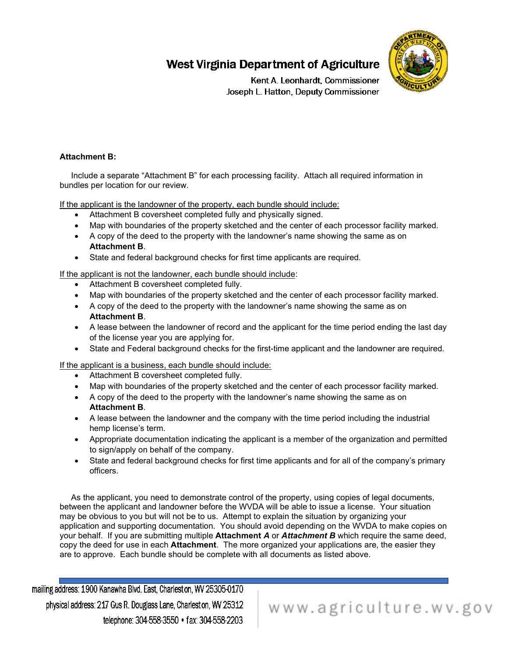

Kent A. Leonhardt, Commissioner Joseph L. Hatton, Deputy Commissioner

### **Attachment B:**

 Include a separate "Attachment B" for each processing facility. Attach all required information in bundles per location for our review.

If the applicant is the landowner of the property, each bundle should include:

- Attachment B coversheet completed fully and physically signed.
- Map with boundaries of the property sketched and the center of each processor facility marked.
- A copy of the deed to the property with the landowner's name showing the same as on **Attachment B**.
- State and federal background checks for first time applicants are required.

If the applicant is not the landowner, each bundle should include:

- Attachment B coversheet completed fully.
- Map with boundaries of the property sketched and the center of each processor facility marked.
- A copy of the deed to the property with the landowner's name showing the same as on **Attachment B**.
- A lease between the landowner of record and the applicant for the time period ending the last day of the license year you are applying for.
- State and Federal background checks for the first-time applicant and the landowner are required.

If the applicant is a business, each bundle should include:

- Attachment B coversheet completed fully.
- Map with boundaries of the property sketched and the center of each processor facility marked.
- A copy of the deed to the property with the landowner's name showing the same as on **Attachment B**.
- A lease between the landowner and the company with the time period including the industrial hemp license's term.
- Appropriate documentation indicating the applicant is a member of the organization and permitted to sign/apply on behalf of the company.
- State and federal background checks for first time applicants and for all of the company's primary officers.

 As the applicant, you need to demonstrate control of the property, using copies of legal documents, between the applicant and landowner before the WVDA will be able to issue a license. Your situation may be obvious to you but will not be to us. Attempt to explain the situation by organizing your application and supporting documentation. You should avoid depending on the WVDA to make copies on your behalf. If you are submitting multiple **Attachment** *A* or *Attachment B* which require the same deed, copy the deed for use in each **Attachment**.The more organized your applications are, the easier they are to approve. Each bundle should be complete with all documents as listed above.

mailing address: 1900 Kanawha Blvd. East, Charlest on, WV 25305-0170 physical address: 217 Gus R. Douglass Lane, Charlest on, WV 25312 telephone: 304-558-3550 • fax: 304-558-2203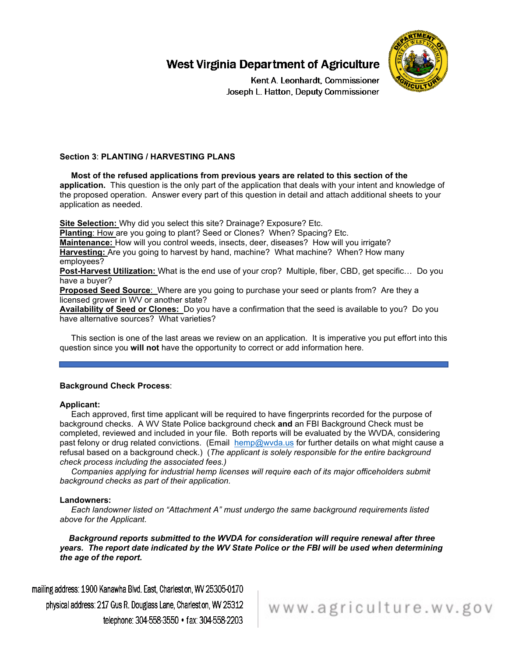

Kent A. Leonhardt, Commissioner Joseph L. Hatton, Deputy Commissioner

### **Section 3**: **PLANTING / HARVESTING PLANS**

 **Most of the refused applications from previous years are related to this section of the application.** This question is the only part of the application that deals with your intent and knowledge of the proposed operation. Answer every part of this question in detail and attach additional sheets to your application as needed.

**Site Selection:** Why did you select this site? Drainage? Exposure? Etc.

**Planting: How are you going to plant? Seed or Clones? When? Spacing? Etc.** 

**Maintenance:** How will you control weeds, insects, deer, diseases? How will you irrigate? **Harvesting:** Are you going to harvest by hand, machine? What machine? When? How many employees?

**Post-Harvest Utilization:** What is the end use of your crop? Multiple, fiber, CBD, get specific… Do you have a buyer?

**Proposed Seed Source**: Where are you going to purchase your seed or plants from? Are they a licensed grower in WV or another state?

**Availability of Seed or Clones:** Do you have a confirmation that the seed is available to you? Do you have alternative sources? What varieties?

 This section is one of the last areas we review on an application. It is imperative you put effort into this question since you **will not** have the opportunity to correct or add information here.

#### **Background Check Process**:

#### **Applicant:**

 Each approved, first time applicant will be required to have fingerprints recorded for the purpose of background checks. A WV State Police background check **and** an FBI Background Check must be completed, reviewed and included in your file. Both reports will be evaluated by the WVDA, considering past felony or drug related convictions. (Email [hemp@wvda.us](mailto:hemp@wvda.us) for further details on what might cause a refusal based on a background check.) (*The applicant is solely responsible for the entire background check process including the associated fees.)*

 *Companies applying for industrial hemp licenses will require each of its major officeholders submit background checks as part of their application.*

#### **Landowners:**

 *Each landowner listed on "Attachment A" must undergo the same background requirements listed above for the Applicant.* 

 *Background reports submitted to the WVDA for consideration will require renewal after three years. The report date indicated by the WV State Police or the FBI will be used when determining the age of the report.*

mailing address: 1900 Kanawha Blvd. East, Charleston, WV 25305-0170 physical address: 217 Gus R. Douglass Lane, Charleston, WV 25312 telephone: 304-558-3550 • fax: 304-558-2203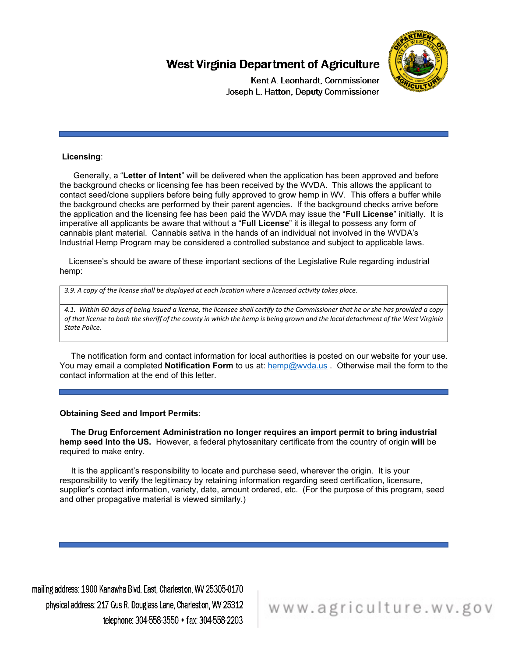

Kent A. Leonhardt, Commissioner Joseph L. Hatton, Deputy Commissioner

#### **Licensing**:

 Generally, a "**Letter of Intent**" will be delivered when the application has been approved and before the background checks or licensing fee has been received by the WVDA. This allows the applicant to contact seed/clone suppliers before being fully approved to grow hemp in WV. This offers a buffer while the background checks are performed by their parent agencies. If the background checks arrive before the application and the licensing fee has been paid the WVDA may issue the "**Full License**" initially. It is imperative all applicants be aware that without a "**Full License**" it is illegal to possess any form of cannabis plant material. Cannabis sativa in the hands of an individual not involved in the WVDA's Industrial Hemp Program may be considered a controlled substance and subject to applicable laws.

 Licensee's should be aware of these important sections of the Legislative Rule regarding industrial hemp:

*3.9. A copy of the license shall be displayed at each location where a licensed activity takes place.*

*4.1. Within 60 days of being issued a license, the licensee shall certify to the Commissioner that he or she has provided a copy of that license to both the sheriff of the county in which the hemp is being grown and the local detachment of the West Virginia State Police.*

 The notification form and contact information for local authorities is posted on our website for your use. You may email a completed **Notification Form** to us at: [hemp@wvda.us](mailto:hemp@wvda.us) . Otherwise mail the form to the contact information at the end of this letter.

#### **Obtaining Seed and Import Permits**:

 **The Drug Enforcement Administration no longer requires an import permit to bring industrial hemp seed into the US.** However, a federal phytosanitary certificate from the country of origin **will** be required to make entry.

 It is the applicant's responsibility to locate and purchase seed, wherever the origin. It is your responsibility to verify the legitimacy by retaining information regarding seed certification, licensure, supplier's contact information, variety, date, amount ordered, etc. (For the purpose of this program, seed and other propagative material is viewed similarly.)

mailing address: 1900 Kanawha Blvd. East, Charlest on, WV 25305-0170 physical address: 217 Gus R. Douglass Lane, Charleston, WV 25312 telephone: 304-558-3550 • fax: 304-558-2203